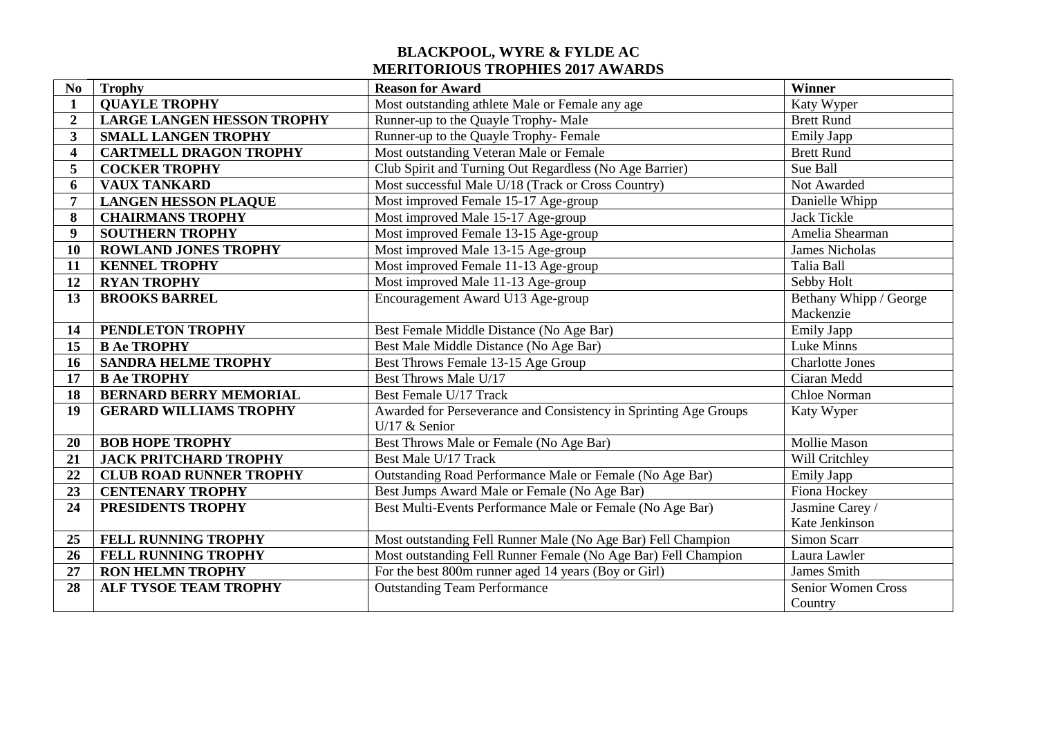## **BLACKPOOL, WYRE & FYLDE AC MERITORIOUS TROPHIES 2017 AWARDS**

| N <sub>0</sub>          | <b>Trophy</b>                     | <b>Reason for Award</b>                                          | Winner                 |
|-------------------------|-----------------------------------|------------------------------------------------------------------|------------------------|
| $\mathbf{1}$            | <b>QUAYLE TROPHY</b>              | Most outstanding athlete Male or Female any age                  | Katy Wyper             |
| $\overline{2}$          | <b>LARGE LANGEN HESSON TROPHY</b> | Runner-up to the Quayle Trophy-Male                              | <b>Brett Rund</b>      |
| 3                       | <b>SMALL LANGEN TROPHY</b>        | Runner-up to the Quayle Trophy-Female                            | <b>Emily Japp</b>      |
| $\overline{\mathbf{4}}$ | <b>CARTMELL DRAGON TROPHY</b>     | Most outstanding Veteran Male or Female                          | <b>Brett Rund</b>      |
| 5                       | <b>COCKER TROPHY</b>              | Club Spirit and Turning Out Regardless (No Age Barrier)          | Sue Ball               |
| 6                       | <b>VAUX TANKARD</b>               | Most successful Male U/18 (Track or Cross Country)               | Not Awarded            |
| 7                       | <b>LANGEN HESSON PLAQUE</b>       | Most improved Female 15-17 Age-group                             | Danielle Whipp         |
| 8                       | <b>CHAIRMANS TROPHY</b>           | Most improved Male 15-17 Age-group                               | Jack Tickle            |
| $\boldsymbol{9}$        | <b>SOUTHERN TROPHY</b>            | Most improved Female 13-15 Age-group                             | Amelia Shearman        |
| 10                      | <b>ROWLAND JONES TROPHY</b>       | Most improved Male 13-15 Age-group                               | James Nicholas         |
| 11                      | <b>KENNEL TROPHY</b>              | Most improved Female 11-13 Age-group                             | Talia Ball             |
| 12                      | <b>RYAN TROPHY</b>                | Most improved Male 11-13 Age-group                               | Sebby Holt             |
| 13                      | <b>BROOKS BARREL</b>              | Encouragement Award U13 Age-group                                | Bethany Whipp / George |
|                         |                                   |                                                                  | Mackenzie              |
| 14                      | PENDLETON TROPHY                  | Best Female Middle Distance (No Age Bar)                         | <b>Emily Japp</b>      |
| 15                      | <b>B Ae TROPHY</b>                | Best Male Middle Distance (No Age Bar)                           | Luke Minns             |
| 16                      | <b>SANDRA HELME TROPHY</b>        | Best Throws Female 13-15 Age Group                               | <b>Charlotte Jones</b> |
| 17                      | <b>B Ae TROPHY</b>                | Best Throws Male U/17                                            | Ciaran Medd            |
| 18                      | <b>BERNARD BERRY MEMORIAL</b>     | Best Female U/17 Track                                           | Chloe Norman           |
| 19                      | <b>GERARD WILLIAMS TROPHY</b>     | Awarded for Perseverance and Consistency in Sprinting Age Groups | Katy Wyper             |
|                         |                                   | U/17 $&$ Senior                                                  |                        |
| 20                      | <b>BOB HOPE TROPHY</b>            | Best Throws Male or Female (No Age Bar)                          | <b>Mollie Mason</b>    |
| 21                      | <b>JACK PRITCHARD TROPHY</b>      | Best Male U/17 Track                                             | Will Critchley         |
| 22                      | <b>CLUB ROAD RUNNER TROPHY</b>    | Outstanding Road Performance Male or Female (No Age Bar)         | <b>Emily Japp</b>      |
| 23                      | <b>CENTENARY TROPHY</b>           | Best Jumps Award Male or Female (No Age Bar)                     | Fiona Hockey           |
| 24                      | PRESIDENTS TROPHY                 | Best Multi-Events Performance Male or Female (No Age Bar)        | Jasmine Carey /        |
|                         |                                   |                                                                  | Kate Jenkinson         |
| 25                      | FELL RUNNING TROPHY               | Most outstanding Fell Runner Male (No Age Bar) Fell Champion     | Simon Scarr            |
| 26                      | <b>FELL RUNNING TROPHY</b>        | Most outstanding Fell Runner Female (No Age Bar) Fell Champion   | Laura Lawler           |
| 27                      | <b>RON HELMN TROPHY</b>           | For the best 800m runner aged 14 years (Boy or Girl)             | James Smith            |
| 28                      | <b>ALF TYSOE TEAM TROPHY</b>      | <b>Outstanding Team Performance</b>                              | Senior Women Cross     |
|                         |                                   |                                                                  | Country                |